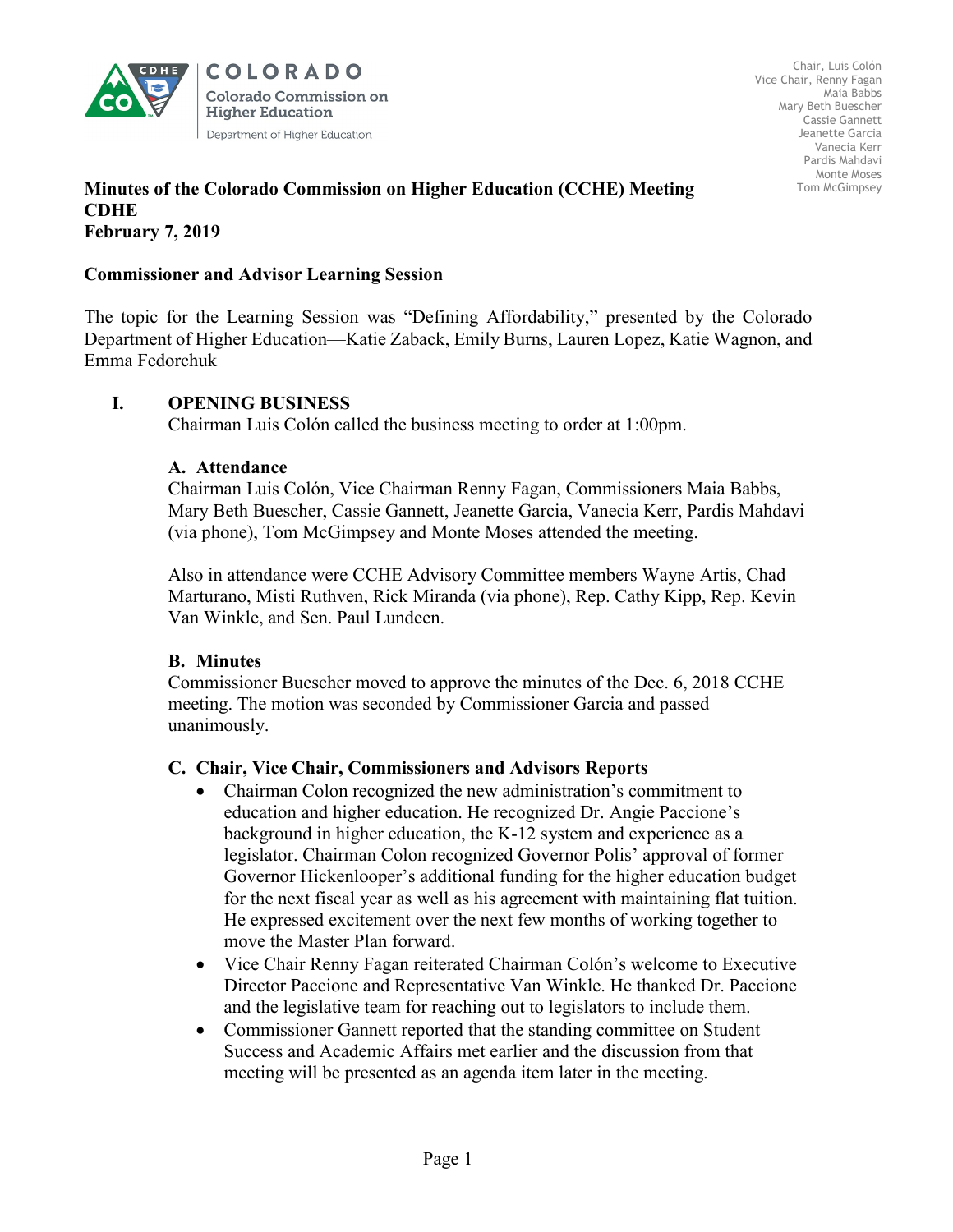

**COLORADO Colorado Commission on Higher Education** Department of Higher Education

### **Minutes of the Colorado Commission on Higher Education (CCHE) Meeting CDHE February 7, 2019**

## **Commissioner and Advisor Learning Session**

The topic for the Learning Session was "Defining Affordability," presented by the Colorado Department of Higher Education—Katie Zaback, Emily Burns, Lauren Lopez, Katie Wagnon, and Emma Fedorchuk

# **I. OPENING BUSINESS**

Chairman Luis Colón called the business meeting to order at 1:00pm.

### **A. Attendance**

Chairman Luis Colón, Vice Chairman Renny Fagan, Commissioners Maia Babbs, Mary Beth Buescher, Cassie Gannett, Jeanette Garcia, Vanecia Kerr, Pardis Mahdavi (via phone), Tom McGimpsey and Monte Moses attended the meeting.

Also in attendance were CCHE Advisory Committee members Wayne Artis, Chad Marturano, Misti Ruthven, Rick Miranda (via phone), Rep. Cathy Kipp, Rep. Kevin Van Winkle, and Sen. Paul Lundeen.

### **B. Minutes**

Commissioner Buescher moved to approve the minutes of the Dec. 6, 2018 CCHE meeting. The motion was seconded by Commissioner Garcia and passed unanimously.

### **C. Chair, Vice Chair, Commissioners and Advisors Reports**

- Chairman Colon recognized the new administration's commitment to education and higher education. He recognized Dr. Angie Paccione's background in higher education, the K-12 system and experience as a legislator. Chairman Colon recognized Governor Polis' approval of former Governor Hickenlooper's additional funding for the higher education budget for the next fiscal year as well as his agreement with maintaining flat tuition. He expressed excitement over the next few months of working together to move the Master Plan forward.
- Vice Chair Renny Fagan reiterated Chairman Colón's welcome to Executive Director Paccione and Representative Van Winkle. He thanked Dr. Paccione and the legislative team for reaching out to legislators to include them.
- Commissioner Gannett reported that the standing committee on Student Success and Academic Affairs met earlier and the discussion from that meeting will be presented as an agenda item later in the meeting.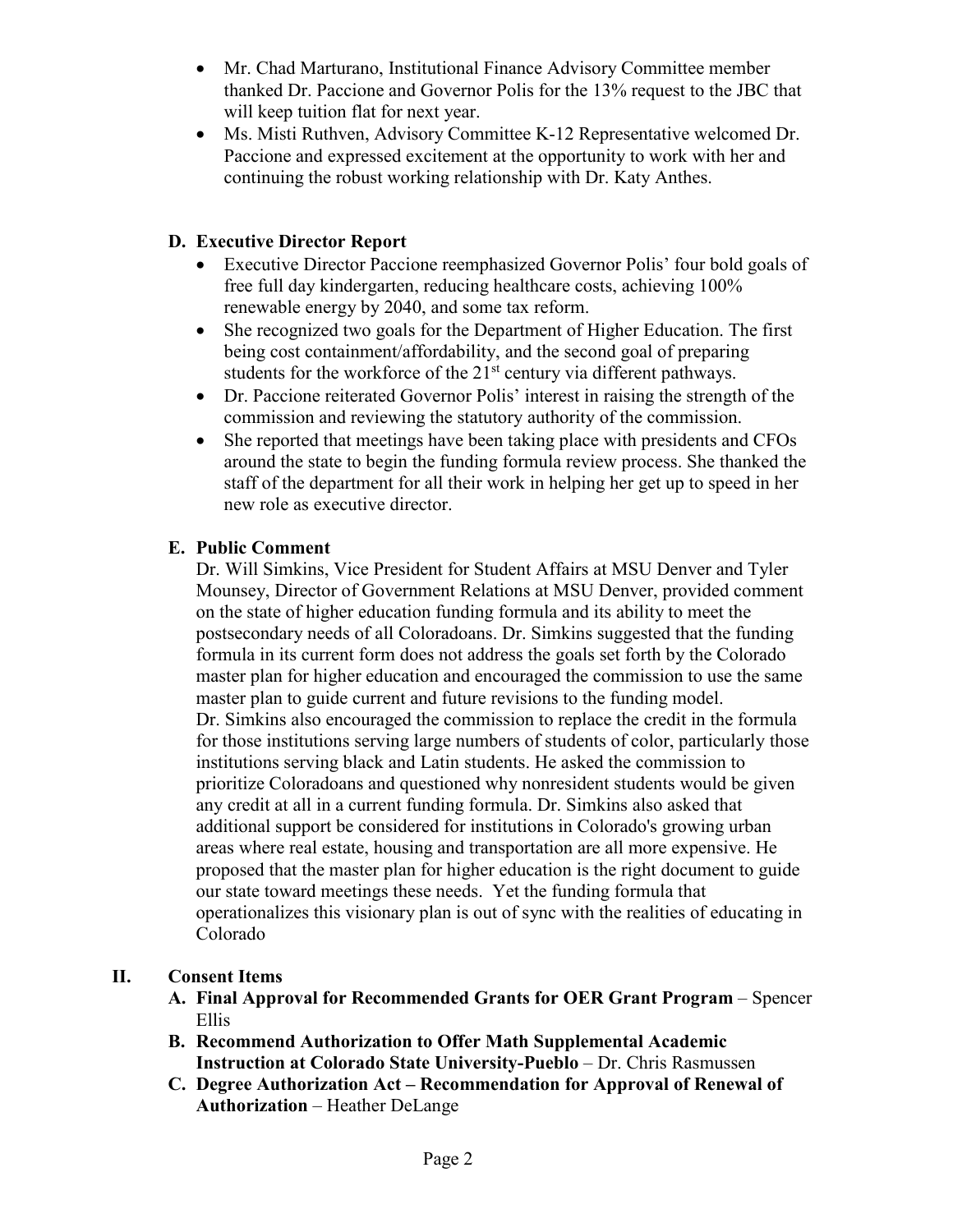- Mr. Chad Marturano, Institutional Finance Advisory Committee member thanked Dr. Paccione and Governor Polis for the 13% request to the JBC that will keep tuition flat for next year.
- Ms. Misti Ruthven, Advisory Committee K-12 Representative welcomed Dr. Paccione and expressed excitement at the opportunity to work with her and continuing the robust working relationship with Dr. Katy Anthes.

# **D. Executive Director Report**

- Executive Director Paccione reemphasized Governor Polis' four bold goals of free full day kindergarten, reducing healthcare costs, achieving 100% renewable energy by 2040, and some tax reform.
- She recognized two goals for the Department of Higher Education. The first being cost containment/affordability, and the second goal of preparing students for the workforce of the 21<sup>st</sup> century via different pathways.
- Dr. Paccione reiterated Governor Polis' interest in raising the strength of the commission and reviewing the statutory authority of the commission.
- She reported that meetings have been taking place with presidents and CFOs around the state to begin the funding formula review process. She thanked the staff of the department for all their work in helping her get up to speed in her new role as executive director.

# **E. Public Comment**

Dr. Will Simkins, Vice President for Student Affairs at MSU Denver and Tyler Mounsey, Director of Government Relations at MSU Denver, provided comment on the state of higher education funding formula and its ability to meet the postsecondary needs of all Coloradoans. Dr. Simkins suggested that the funding formula in its current form does not address the goals set forth by the Colorado master plan for higher education and encouraged the commission to use the same master plan to guide current and future revisions to the funding model. Dr. Simkins also encouraged the commission to replace the credit in the formula for those institutions serving large numbers of students of color, particularly those institutions serving black and Latin students. He asked the commission to prioritize Coloradoans and questioned why nonresident students would be given any credit at all in a current funding formula. Dr. Simkins also asked that additional support be considered for institutions in Colorado's growing urban areas where real estate, housing and transportation are all more expensive. He proposed that the master plan for higher education is the right document to guide our state toward meetings these needs. Yet the funding formula that operationalizes this visionary plan is out of sync with the realities of educating in Colorado

# **II. Consent Items**

- **A. Final Approval for Recommended Grants for OER Grant Program** Spencer Ellis
- **B. Recommend Authorization to Offer Math Supplemental Academic Instruction at Colorado State University-Pueblo** – Dr. Chris Rasmussen
- **C. Degree Authorization Act – Recommendation for Approval of Renewal of Authorization** – Heather DeLange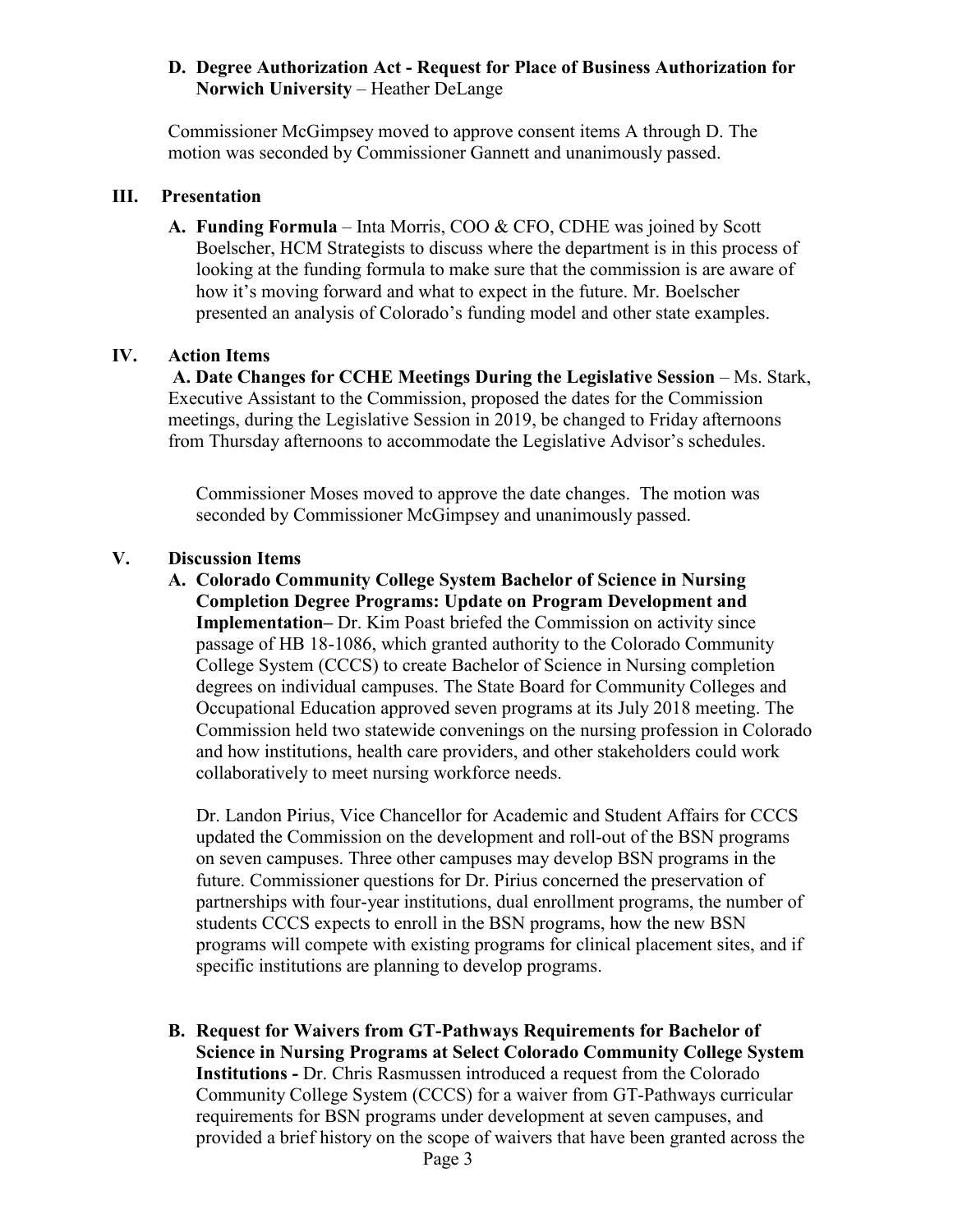## **D. Degree Authorization Act - Request for Place of Business Authorization for Norwich University** – Heather DeLange

Commissioner McGimpsey moved to approve consent items A through D. The motion was seconded by Commissioner Gannett and unanimously passed.

### **III. Presentation**

**A. Funding Formula** – Inta Morris, COO & CFO, CDHE was joined by Scott Boelscher, HCM Strategists to discuss where the department is in this process of looking at the funding formula to make sure that the commission is are aware of how it's moving forward and what to expect in the future. Mr. Boelscher presented an analysis of Colorado's funding model and other state examples.

# **IV. Action Items**

**A. Date Changes for CCHE Meetings During the Legislative Session** *–* Ms. Stark, Executive Assistant to the Commission, proposed the dates for the Commission meetings, during the Legislative Session in 2019, be changed to Friday afternoons from Thursday afternoons to accommodate the Legislative Advisor's schedules.

Commissioner Moses moved to approve the date changes. The motion was seconded by Commissioner McGimpsey and unanimously passed.

## **V. Discussion Items**

**A. Colorado Community College System Bachelor of Science in Nursing Completion Degree Programs: Update on Program Development and Implementation–** Dr. Kim Poast briefed the Commission on activity since passage of HB 18-1086, which granted authority to the Colorado Community College System (CCCS) to create Bachelor of Science in Nursing completion degrees on individual campuses. The State Board for Community Colleges and Occupational Education approved seven programs at its July 2018 meeting. The Commission held two statewide convenings on the nursing profession in Colorado and how institutions, health care providers, and other stakeholders could work collaboratively to meet nursing workforce needs.

Dr. Landon Pirius, Vice Chancellor for Academic and Student Affairs for CCCS updated the Commission on the development and roll-out of the BSN programs on seven campuses. Three other campuses may develop BSN programs in the future. Commissioner questions for Dr. Pirius concerned the preservation of partnerships with four-year institutions, dual enrollment programs, the number of students CCCS expects to enroll in the BSN programs, how the new BSN programs will compete with existing programs for clinical placement sites, and if specific institutions are planning to develop programs.

**B. Request for Waivers from GT-Pathways Requirements for Bachelor of Science in Nursing Programs at Select Colorado Community College System Institutions -** Dr. Chris Rasmussen introduced a request from the Colorado Community College System (CCCS) for a waiver from GT-Pathways curricular requirements for BSN programs under development at seven campuses, and provided a brief history on the scope of waivers that have been granted across the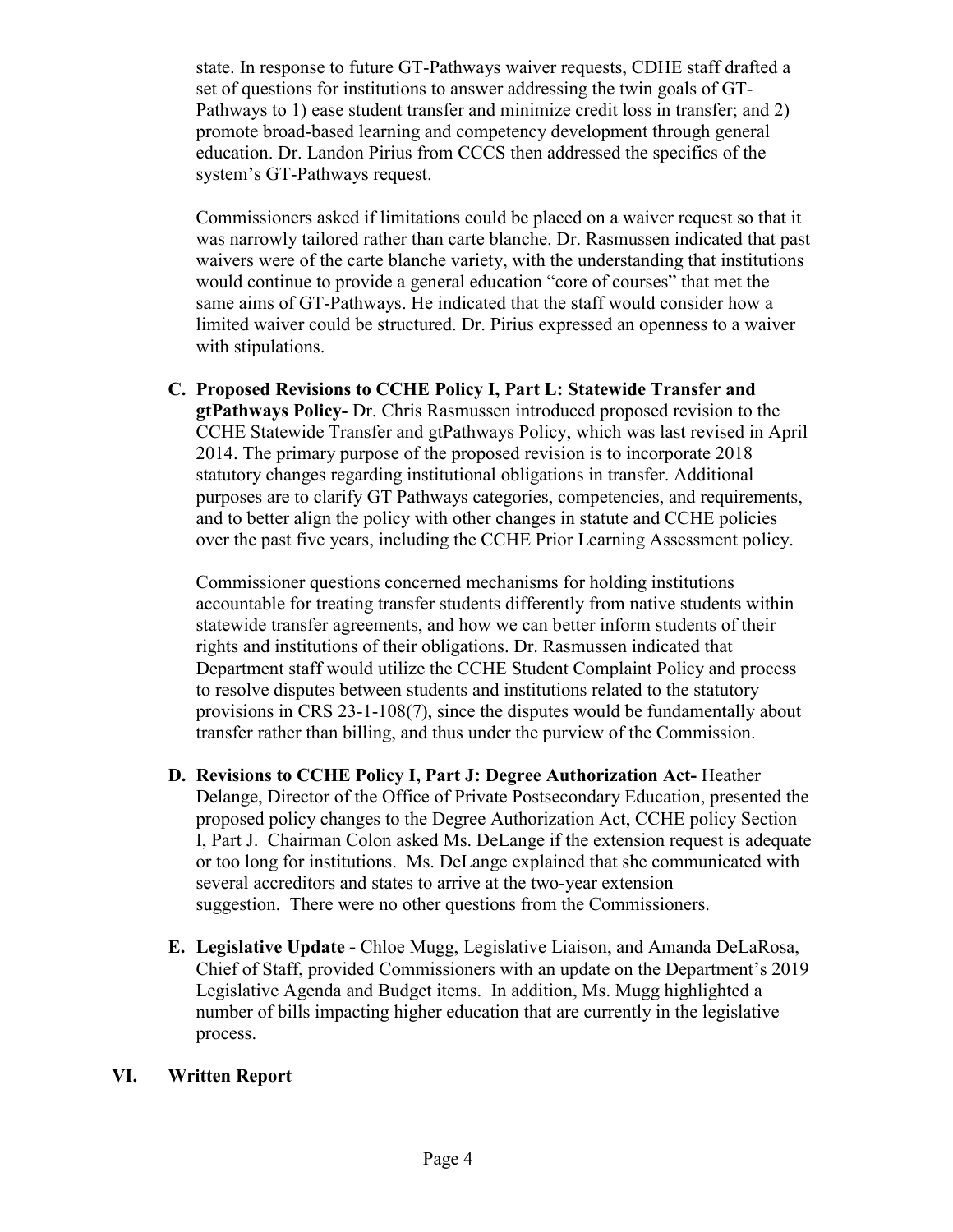state. In response to future GT-Pathways waiver requests, CDHE staff drafted a set of questions for institutions to answer addressing the twin goals of GT-Pathways to 1) ease student transfer and minimize credit loss in transfer; and 2) promote broad-based learning and competency development through general education. Dr. Landon Pirius from CCCS then addressed the specifics of the system's GT-Pathways request.

Commissioners asked if limitations could be placed on a waiver request so that it was narrowly tailored rather than carte blanche. Dr. Rasmussen indicated that past waivers were of the carte blanche variety, with the understanding that institutions would continue to provide a general education "core of courses" that met the same aims of GT-Pathways. He indicated that the staff would consider how a limited waiver could be structured. Dr. Pirius expressed an openness to a waiver with stipulations.

**C. Proposed Revisions to CCHE Policy I, Part L: Statewide Transfer and gtPathways Policy-** Dr. Chris Rasmussen introduced proposed revision to the CCHE Statewide Transfer and gtPathways Policy, which was last revised in April 2014. The primary purpose of the proposed revision is to incorporate 2018 statutory changes regarding institutional obligations in transfer. Additional purposes are to clarify GT Pathways categories, competencies, and requirements, and to better align the policy with other changes in statute and CCHE policies over the past five years, including the CCHE Prior Learning Assessment policy.

Commissioner questions concerned mechanisms for holding institutions accountable for treating transfer students differently from native students within statewide transfer agreements, and how we can better inform students of their rights and institutions of their obligations. Dr. Rasmussen indicated that Department staff would utilize the CCHE Student Complaint Policy and process to resolve disputes between students and institutions related to the statutory provisions in CRS 23-1-108(7), since the disputes would be fundamentally about transfer rather than billing, and thus under the purview of the Commission.

- **D. Revisions to CCHE Policy I, Part J: Degree Authorization Act-** Heather Delange, Director of the Office of Private Postsecondary Education, presented the proposed policy changes to the Degree Authorization Act, CCHE policy Section I, Part J. Chairman Colon asked Ms. DeLange if the extension request is adequate or too long for institutions. Ms. DeLange explained that she communicated with several accreditors and states to arrive at the two-year extension suggestion. There were no other questions from the Commissioners.
- **E. Legislative Update -** Chloe Mugg, Legislative Liaison, and Amanda DeLaRosa, Chief of Staff, provided Commissioners with an update on the Department's 2019 Legislative Agenda and Budget items. In addition, Ms. Mugg highlighted a number of bills impacting higher education that are currently in the legislative process.

# **VI. Written Report**